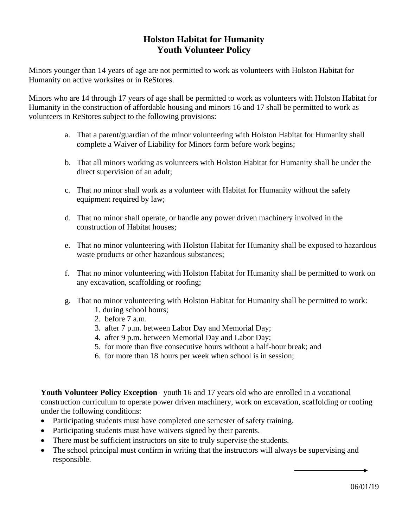## **Holston Habitat for Humanity Youth Volunteer Policy**

Minors younger than 14 years of age are not permitted to work as volunteers with Holston Habitat for Humanity on active worksites or in ReStores.

Minors who are 14 through 17 years of age shall be permitted to work as volunteers with Holston Habitat for Humanity in the construction of affordable housing and minors 16 and 17 shall be permitted to work as volunteers in ReStores subject to the following provisions:

- a. That a parent/guardian of the minor volunteering with Holston Habitat for Humanity shall complete a Waiver of Liability for Minors form before work begins;
- b. That all minors working as volunteers with Holston Habitat for Humanity shall be under the direct supervision of an adult;
- c. That no minor shall work as a volunteer with Habitat for Humanity without the safety equipment required by law;
- d. That no minor shall operate, or handle any power driven machinery involved in the construction of Habitat houses;
- e. That no minor volunteering with Holston Habitat for Humanity shall be exposed to hazardous waste products or other hazardous substances;
- f. That no minor volunteering with Holston Habitat for Humanity shall be permitted to work on any excavation, scaffolding or roofing;
- g. That no minor volunteering with Holston Habitat for Humanity shall be permitted to work:
	- 1. during school hours;
	- 2. before 7 a.m.
	- 3. after 7 p.m. between Labor Day and Memorial Day;
	- 4. after 9 p.m. between Memorial Day and Labor Day;
	- 5. for more than five consecutive hours without a half-hour break; and
	- 6. for more than 18 hours per week when school is in session;

Youth Volunteer Policy Exception –youth 16 and 17 years old who are enrolled in a vocational construction curriculum to operate power driven machinery, work on excavation, scaffolding or roofing under the following conditions:

- Participating students must have completed one semester of safety training.
- Participating students must have waivers signed by their parents.
- There must be sufficient instructors on site to truly supervise the students.
- The school principal must confirm in writing that the instructors will always be supervising and responsible.

06/01/19